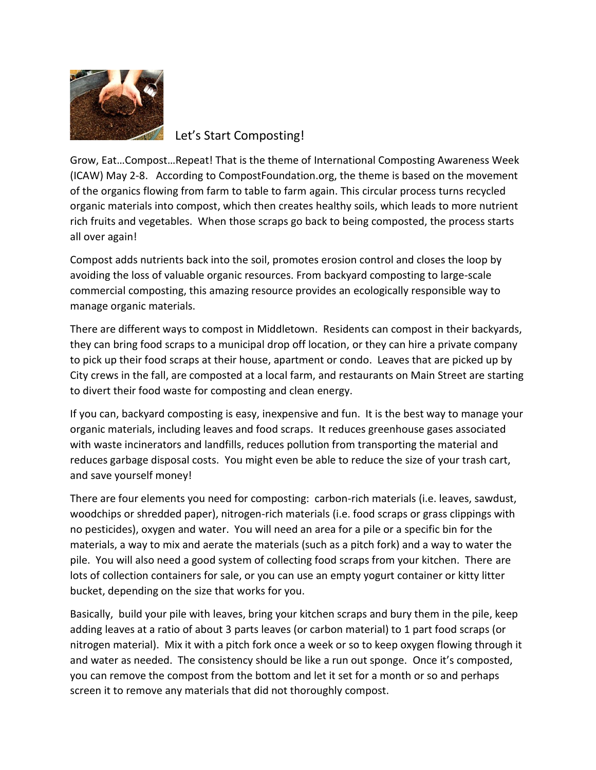

Let's Start Composting!

Grow, Eat…Compost…Repeat! That is the theme of International Composting Awareness Week (ICAW) May 2-8. According to CompostFoundation.org, the theme is based on the movement of the organics flowing from farm to table to farm again. This circular process turns recycled organic materials into compost, which then creates healthy soils, which leads to more nutrient rich fruits and vegetables. When those scraps go back to being composted, the process starts all over again!

Compost adds nutrients back into the soil, promotes erosion control and closes the loop by avoiding the loss of valuable organic resources. From backyard composting to large-scale commercial composting, this amazing resource provides an ecologically responsible way to manage organic materials.

There are different ways to compost in Middletown. Residents can compost in their backyards, they can bring food scraps to a municipal drop off location, or they can hire a private company to pick up their food scraps at their house, apartment or condo. Leaves that are picked up by City crews in the fall, are composted at a local farm, and restaurants on Main Street are starting to divert their food waste for composting and clean energy.

If you can, backyard composting is easy, inexpensive and fun. It is the best way to manage your organic materials, including leaves and food scraps. It reduces greenhouse gases associated with waste incinerators and landfills, reduces pollution from transporting the material and reduces garbage disposal costs. You might even be able to reduce the size of your trash cart, and save yourself money!

There are four elements you need for composting: carbon-rich materials (i.e. leaves, sawdust, woodchips or shredded paper), nitrogen-rich materials (i.e. food scraps or grass clippings with no pesticides), oxygen and water. You will need an area for a pile or a specific bin for the materials, a way to mix and aerate the materials (such as a pitch fork) and a way to water the pile. You will also need a good system of collecting food scraps from your kitchen. There are lots of collection containers for sale, or you can use an empty yogurt container or kitty litter bucket, depending on the size that works for you.

Basically, build your pile with leaves, bring your kitchen scraps and bury them in the pile, keep adding leaves at a ratio of about 3 parts leaves (or carbon material) to 1 part food scraps (or nitrogen material). Mix it with a pitch fork once a week or so to keep oxygen flowing through it and water as needed. The consistency should be like a run out sponge. Once it's composted, you can remove the compost from the bottom and let it set for a month or so and perhaps screen it to remove any materials that did not thoroughly compost.